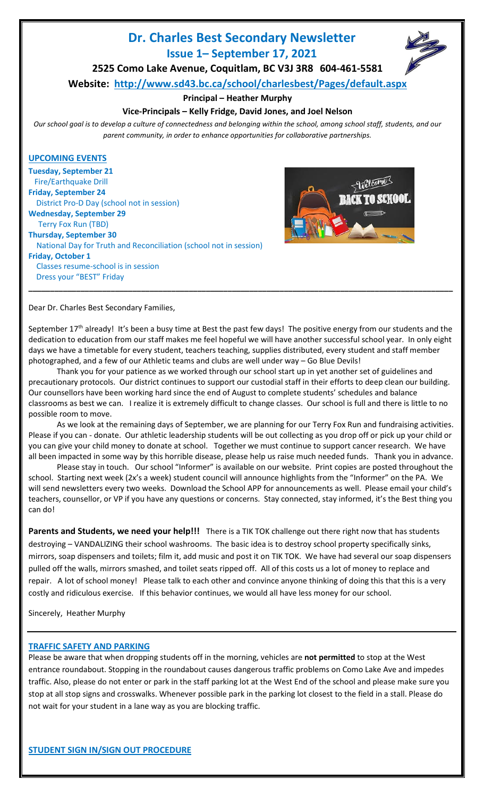# **Dr. Charles Best Secondary Newsletter Issue 1– September 17, 2021**



**2525 Como Lake Avenue, Coquitlam, BC V3J 3R8 604-461-5581**

**Website: <http://www.sd43.bc.ca/school/charlesbest/Pages/default.aspx>**

## **Principal – Heather Murphy**

# **Vice-Principals – Kelly Fridge, David Jones, and Joel Nelson**

*Our school goal is to develop a culture of connectedness and belonging within the school, among school staff, students, and our parent community, in order to enhance opportunities for collaborative partnerships.*

## **UPCOMING EVENTS**

**Tuesday, September 21** Fire/Earthquake Drill **Friday, September 24** District Pro-D Day (school not in session) **Wednesday, September 29** Terry Fox Run (TBD) **Thursday, September 30** National Day for Truth and Reconciliation (school not in session) **Friday, October 1** Classes resume-school is in session Dress your "BEST" Friday **\_\_\_\_\_\_\_\_\_\_\_\_\_\_\_\_\_\_\_\_\_\_\_\_\_\_\_\_\_\_\_\_\_\_\_\_\_\_\_\_\_\_\_\_\_\_\_\_\_\_\_\_\_\_\_\_\_\_\_\_\_\_\_\_\_\_\_\_\_\_\_\_\_\_\_\_\_\_\_\_\_\_\_\_\_\_\_\_\_\_\_\_\_\_\_\_\_\_**



Dear Dr. Charles Best Secondary Families,

September 17<sup>th</sup> already! It's been a busy time at Best the past few days! The positive energy from our students and the dedication to education from our staff makes me feel hopeful we will have another successful school year. In only eight days we have a timetable for every student, teachers teaching, supplies distributed, every student and staff member photographed, and a few of our Athletic teams and clubs are well under way – Go Blue Devils!

Thank you for your patience as we worked through our school start up in yet another set of guidelines and precautionary protocols. Our district continues to support our custodial staff in their efforts to deep clean our building. Our counsellors have been working hard since the end of August to complete students' schedules and balance classrooms as best we can. I realize it is extremely difficult to change classes. Our school is full and there is little to no possible room to move.

As we look at the remaining days of September, we are planning for our Terry Fox Run and fundraising activities. Please if you can - donate. Our athletic leadership students will be out collecting as you drop off or pick up your child or you can give your child money to donate at school. Together we must continue to support cancer research. We have all been impacted in some way by this horrible disease, please help us raise much needed funds. Thank you in advance.

Please stay in touch. Our school "Informer" is available on our website. Print copies are posted throughout the school. Starting next week (2x's a week) student council will announce highlights from the "Informer" on the PA. We will send newsletters every two weeks. Download the School APP for announcements as well. Please email your child's teachers, counsellor, or VP if you have any questions or concerns. Stay connected, stay informed, it's the Best thing you can do!

Parents and Students, we need your help!!! There is a TIK TOK challenge out there right now that has students destroying – VANDALIZING their school washrooms. The basic idea is to destroy school property specifically sinks, mirrors, soap dispensers and toilets; film it, add music and post it on TIK TOK. We have had several our soap dispensers pulled off the walls, mirrors smashed, and toilet seats ripped off. All of this costs us a lot of money to replace and repair. A lot of school money! Please talk to each other and convince anyone thinking of doing this that this is a very costly and ridiculous exercise. If this behavior continues, we would all have less money for our school.

Sincerely, Heather Murphy

# **TRAFFIC SAFETY AND PARKING**

Please be aware that when dropping students off in the morning, vehicles are **not permitted** to stop at the West entrance roundabout. Stopping in the roundabout causes dangerous traffic problems on Como Lake Ave and impedes traffic. Also, please do not enter or park in the staff parking lot at the West End of the school and please make sure you stop at all stop signs and crosswalks. Whenever possible park in the parking lot closest to the field in a stall. Please do not wait for your student in a lane way as you are blocking traffic.